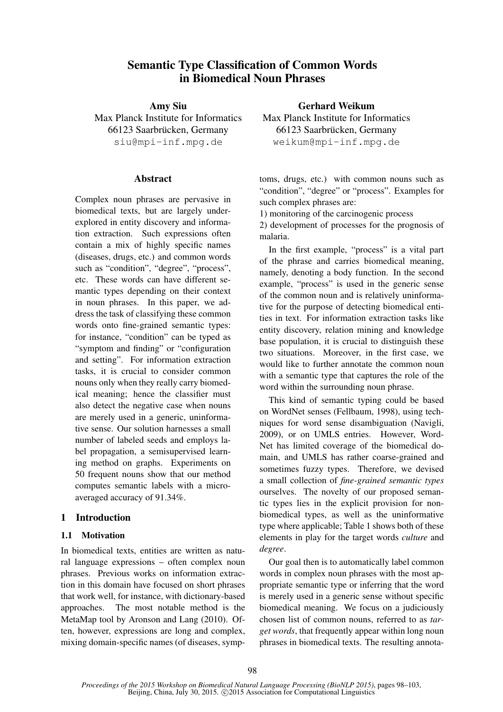# Semantic Type Classification of Common Words in Biomedical Noun Phrases

Amy Siu Max Planck Institute for Informatics 66123 Saarbrücken, Germany siu@mpi-inf.mpg.de

### **Abstract**

Complex noun phrases are pervasive in biomedical texts, but are largely underexplored in entity discovery and information extraction. Such expressions often contain a mix of highly specific names (diseases, drugs, etc.) and common words such as "condition", "degree", "process", etc. These words can have different semantic types depending on their context in noun phrases. In this paper, we address the task of classifying these common words onto fine-grained semantic types: for instance, "condition" can be typed as "symptom and finding" or "configuration and setting". For information extraction tasks, it is crucial to consider common nouns only when they really carry biomedical meaning; hence the classifier must also detect the negative case when nouns are merely used in a generic, uninformative sense. Our solution harnesses a small number of labeled seeds and employs label propagation, a semisupervised learning method on graphs. Experiments on 50 frequent nouns show that our method computes semantic labels with a microaveraged accuracy of 91.34%.

# 1 Introduction

### 1.1 Motivation

In biomedical texts, entities are written as natural language expressions – often complex noun phrases. Previous works on information extraction in this domain have focused on short phrases that work well, for instance, with dictionary-based approaches. The most notable method is the MetaMap tool by Aronson and Lang (2010). Often, however, expressions are long and complex, mixing domain-specific names (of diseases, sympGerhard Weikum

Max Planck Institute for Informatics 66123 Saarbrücken, Germany weikum@mpi-inf.mpg.de

toms, drugs, etc.) with common nouns such as "condition", "degree" or "process". Examples for such complex phrases are:

1) monitoring of the carcinogenic process

2) development of processes for the prognosis of malaria.

In the first example, "process" is a vital part of the phrase and carries biomedical meaning, namely, denoting a body function. In the second example, "process" is used in the generic sense of the common noun and is relatively uninformative for the purpose of detecting biomedical entities in text. For information extraction tasks like entity discovery, relation mining and knowledge base population, it is crucial to distinguish these two situations. Moreover, in the first case, we would like to further annotate the common noun with a semantic type that captures the role of the word within the surrounding noun phrase.

This kind of semantic typing could be based on WordNet senses (Fellbaum, 1998), using techniques for word sense disambiguation (Navigli, 2009), or on UMLS entries. However, Word-Net has limited coverage of the biomedical domain, and UMLS has rather coarse-grained and sometimes fuzzy types. Therefore, we devised a small collection of *fine-grained semantic types* ourselves. The novelty of our proposed semantic types lies in the explicit provision for nonbiomedical types, as well as the uninformative type where applicable; Table 1 shows both of these elements in play for the target words *culture* and *degree*.

Our goal then is to automatically label common words in complex noun phrases with the most appropriate semantic type or inferring that the word is merely used in a generic sense without specific biomedical meaning. We focus on a judiciously chosen list of common nouns, referred to as *target words*, that frequently appear within long noun phrases in biomedical texts. The resulting annota-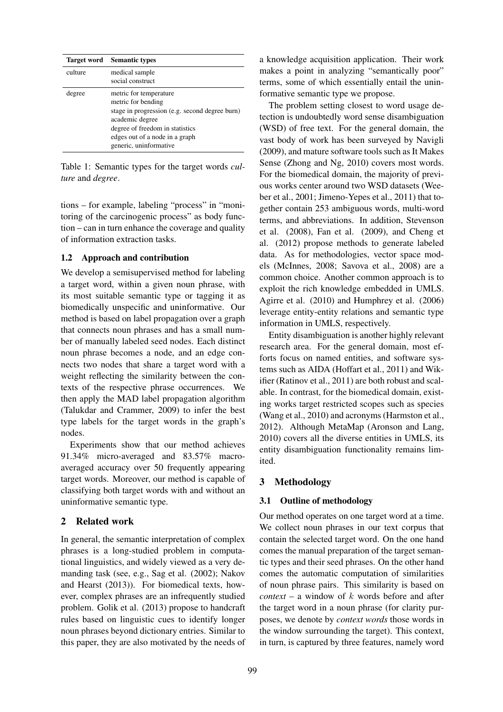|         | <b>Target word</b> Semantic types                                                                                                                                                                                |
|---------|------------------------------------------------------------------------------------------------------------------------------------------------------------------------------------------------------------------|
| culture | medical sample<br>social construct                                                                                                                                                                               |
| degree  | metric for temperature<br>metric for bending<br>stage in progression (e.g. second degree burn)<br>academic degree<br>degree of freedom in statistics<br>edges out of a node in a graph<br>generic, uninformative |

Table 1: Semantic types for the target words *culture* and *degree*.

tions – for example, labeling "process" in "monitoring of the carcinogenic process" as body function – can in turn enhance the coverage and quality of information extraction tasks.

### 1.2 Approach and contribution

We develop a semisupervised method for labeling a target word, within a given noun phrase, with its most suitable semantic type or tagging it as biomedically unspecific and uninformative. Our method is based on label propagation over a graph that connects noun phrases and has a small number of manually labeled seed nodes. Each distinct noun phrase becomes a node, and an edge connects two nodes that share a target word with a weight reflecting the similarity between the contexts of the respective phrase occurrences. We then apply the MAD label propagation algorithm (Talukdar and Crammer, 2009) to infer the best type labels for the target words in the graph's nodes.

Experiments show that our method achieves 91.34% micro-averaged and 83.57% macroaveraged accuracy over 50 frequently appearing target words. Moreover, our method is capable of classifying both target words with and without an uninformative semantic type.

### 2 Related work

In general, the semantic interpretation of complex phrases is a long-studied problem in computational linguistics, and widely viewed as a very demanding task (see, e.g., Sag et al. (2002); Nakov and Hearst (2013)). For biomedical texts, however, complex phrases are an infrequently studied problem. Golik et al. (2013) propose to handcraft rules based on linguistic cues to identify longer noun phrases beyond dictionary entries. Similar to this paper, they are also motivated by the needs of a knowledge acquisition application. Their work makes a point in analyzing "semantically poor" terms, some of which essentially entail the uninformative semantic type we propose.

The problem setting closest to word usage detection is undoubtedly word sense disambiguation (WSD) of free text. For the general domain, the vast body of work has been surveyed by Navigli (2009), and mature software tools such as It Makes Sense (Zhong and Ng, 2010) covers most words. For the biomedical domain, the majority of previous works center around two WSD datasets (Weeber et al., 2001; Jimeno-Yepes et al., 2011) that together contain 253 ambiguous words, multi-word terms, and abbreviations. In addition, Stevenson et al. (2008), Fan et al. (2009), and Cheng et al. (2012) propose methods to generate labeled data. As for methodologies, vector space models (McInnes, 2008; Savova et al., 2008) are a common choice. Another common approach is to exploit the rich knowledge embedded in UMLS. Agirre et al. (2010) and Humphrey et al. (2006) leverage entity-entity relations and semantic type information in UMLS, respectively.

Entity disambiguation is another highly relevant research area. For the general domain, most efforts focus on named entities, and software systems such as AIDA (Hoffart et al., 2011) and Wikifier (Ratinov et al., 2011) are both robust and scalable. In contrast, for the biomedical domain, existing works target restricted scopes such as species (Wang et al., 2010) and acronyms (Harmston et al., 2012). Although MetaMap (Aronson and Lang, 2010) covers all the diverse entities in UMLS, its entity disambiguation functionality remains limited.

### 3 Methodology

### 3.1 Outline of methodology

Our method operates on one target word at a time. We collect noun phrases in our text corpus that contain the selected target word. On the one hand comes the manual preparation of the target semantic types and their seed phrases. On the other hand comes the automatic computation of similarities of noun phrase pairs. This similarity is based on *context* – a window of  $k$  words before and after the target word in a noun phrase (for clarity purposes, we denote by *context words* those words in the window surrounding the target). This context, in turn, is captured by three features, namely word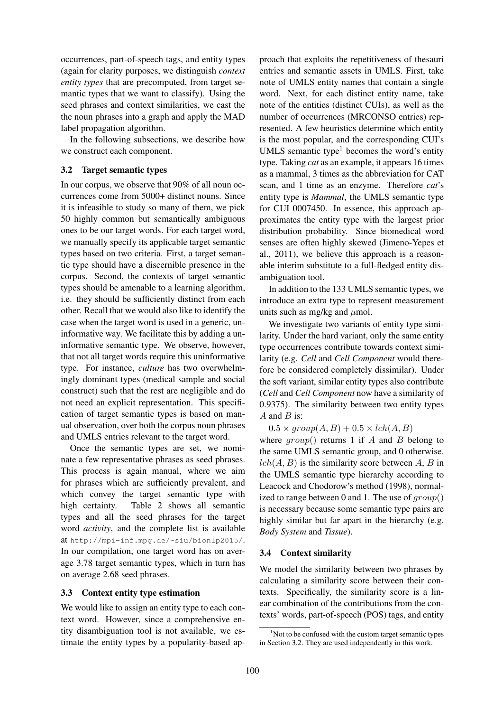occurrences, part-of-speech tags, and entity types (again for clarity purposes, we distinguish *context entity types* that are precomputed, from target semantic types that we want to classify). Using the seed phrases and context similarities, we cast the the noun phrases into a graph and apply the MAD label propagation algorithm.

In the following subsections, we describe how we construct each component.

### 3.2 Target semantic types

In our corpus, we observe that 90% of all noun occurrences come from 5000+ distinct nouns. Since it is infeasible to study so many of them, we pick 50 highly common but semantically ambiguous ones to be our target words. For each target word, we manually specify its applicable target semantic types based on two criteria. First, a target semantic type should have a discernible presence in the corpus. Second, the contexts of target semantic types should be amenable to a learning algorithm, i.e. they should be sufficiently distinct from each other. Recall that we would also like to identify the case when the target word is used in a generic, uninformative way. We facilitate this by adding a uninformative semantic type. We observe, however, that not all target words require this uninformative type. For instance, *culture* has two overwhelmingly dominant types (medical sample and social construct) such that the rest are negligible and do not need an explicit representation. This specification of target semantic types is based on manual observation, over both the corpus noun phrases and UMLS entries relevant to the target word.

Once the semantic types are set, we nominate a few representative phrases as seed phrases. This process is again manual, where we aim for phrases which are sufficiently prevalent, and which convey the target semantic type with high certainty. Table 2 shows all semantic types and all the seed phrases for the target word *activity*, and the complete list is available at http://mpi-inf.mpg.de/~siu/bionlp2015/. In our compilation, one target word has on average 3.78 target semantic types, which in turn has on average 2.68 seed phrases.

### 3.3 Context entity type estimation

We would like to assign an entity type to each context word. However, since a comprehensive entity disambiguation tool is not available, we estimate the entity types by a popularity-based approach that exploits the repetitiveness of thesauri entries and semantic assets in UMLS. First, take note of UMLS entity names that contain a single word. Next, for each distinct entity name, take note of the entities (distinct CUIs), as well as the number of occurrences (MRCONSO entries) represented. A few heuristics determine which entity is the most popular, and the corresponding CUI's UMLS semantic type<sup>1</sup> becomes the word's entity type. Taking *cat* as an example, it appears 16 times as a mammal, 3 times as the abbreviation for CAT scan, and 1 time as an enzyme. Therefore *cat*'s entity type is *Mammal*, the UMLS semantic type for CUI 0007450. In essence, this approach approximates the entity type with the largest prior distribution probability. Since biomedical word senses are often highly skewed (Jimeno-Yepes et al., 2011), we believe this approach is a reasonable interim substitute to a full-fledged entity disambiguation tool.

In addition to the 133 UMLS semantic types, we introduce an extra type to represent measurement units such as mg/kg and  $\mu$ mol.

We investigate two variants of entity type similarity. Under the hard variant, only the same entity type occurrences contribute towards context similarity (e.g. *Cell* and *Cell Component* would therefore be considered completely dissimilar). Under the soft variant, similar entity types also contribute (*Cell* and *Cell Component* now have a similarity of 0.9375). The similarity between two entity types  $A$  and  $B$  is:

 $0.5 \times group(A, B) + 0.5 \times lch(A, B)$ 

where  $qroup()$  returns 1 if A and B belong to the same UMLS semantic group, and 0 otherwise.  $lch(A, B)$  is the similarity score between A, B in the UMLS semantic type hierarchy according to Leacock and Chodorow's method (1998), normalized to range between 0 and 1. The use of  $qroup()$ is necessary because some semantic type pairs are highly similar but far apart in the hierarchy (e.g. *Body System* and *Tissue*).

# 3.4 Context similarity

We model the similarity between two phrases by calculating a similarity score between their contexts. Specifically, the similarity score is a linear combination of the contributions from the contexts' words, part-of-speech (POS) tags, and entity

 $1$ Not to be confused with the custom target semantic types in Section 3.2. They are used independently in this work.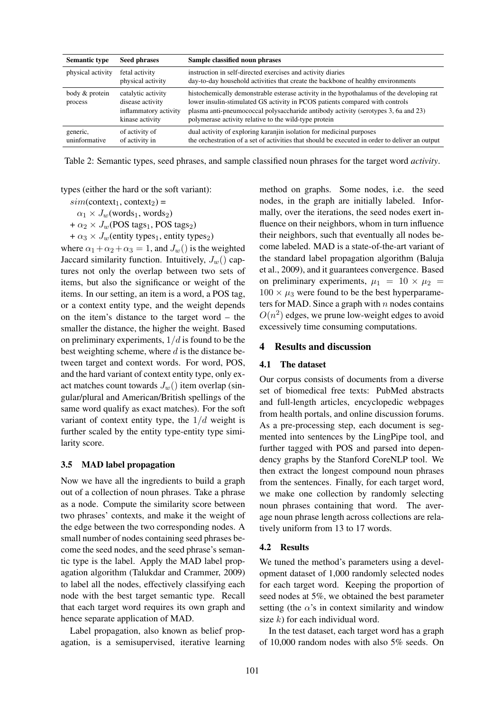| <b>Semantic type</b>      | <b>Seed phrases</b>                                                                | Sample classified noun phrases                                                                                                                                                                                                                                                                                          |
|---------------------------|------------------------------------------------------------------------------------|-------------------------------------------------------------------------------------------------------------------------------------------------------------------------------------------------------------------------------------------------------------------------------------------------------------------------|
| physical activity         | fetal activity<br>physical activity                                                | instruction in self-directed exercises and activity diaries<br>day-to-day household activities that create the backbone of healthy environments                                                                                                                                                                         |
| body & protein<br>process | catalytic activity<br>disease activity<br>inflammatory activity<br>kinase activity | histochemically demonstrable esterase activity in the hypothalamus of the developing rat<br>lower insulin-stimulated GS activity in PCOS patients compared with controls<br>plasma anti-pneumococcal polysaccharide antibody activity (serotypes 3, 6a and 23)<br>polymerase activity relative to the wild-type protein |
| generic,<br>uninformative | of activity of<br>of activity in                                                   | dual activity of exploring karanjin isolation for medicinal purposes<br>the orchestration of a set of activities that should be executed in order to deliver an output                                                                                                                                                  |

Table 2: Semantic types, seed phrases, and sample classified noun phrases for the target word *activity*.

types (either the hard or the soft variant):

 $sim(context_1, context_2) =$ 

 $\alpha_1 \times J_w$ (words<sub>1</sub>, words<sub>2</sub>)

+  $\alpha_2 \times J_w$ (POS tags<sub>1</sub>, POS tags<sub>2</sub>)

+  $\alpha_3 \times J_w$ (entity types<sub>1</sub>, entity types<sub>2</sub>)

where  $\alpha_1 + \alpha_2 + \alpha_3 = 1$ , and  $J_w()$  is the weighted Jaccard similarity function. Intuitively,  $J_w()$  captures not only the overlap between two sets of items, but also the significance or weight of the items. In our setting, an item is a word, a POS tag, or a context entity type, and the weight depends on the item's distance to the target word – the smaller the distance, the higher the weight. Based on preliminary experiments,  $1/d$  is found to be the best weighting scheme, where  $d$  is the distance between target and context words. For word, POS, and the hard variant of context entity type, only exact matches count towards  $J_w()$  item overlap (singular/plural and American/British spellings of the same word qualify as exact matches). For the soft variant of context entity type, the  $1/d$  weight is further scaled by the entity type-entity type similarity score.

#### 3.5 MAD label propagation

Now we have all the ingredients to build a graph out of a collection of noun phrases. Take a phrase as a node. Compute the similarity score between two phrases' contexts, and make it the weight of the edge between the two corresponding nodes. A small number of nodes containing seed phrases become the seed nodes, and the seed phrase's semantic type is the label. Apply the MAD label propagation algorithm (Talukdar and Crammer, 2009) to label all the nodes, effectively classifying each node with the best target semantic type. Recall that each target word requires its own graph and hence separate application of MAD.

Label propagation, also known as belief propagation, is a semisupervised, iterative learning

method on graphs. Some nodes, i.e. the seed nodes, in the graph are initially labeled. Informally, over the iterations, the seed nodes exert influence on their neighbors, whom in turn influence their neighbors, such that eventually all nodes become labeled. MAD is a state-of-the-art variant of the standard label propagation algorithm (Baluja et al., 2009), and it guarantees convergence. Based on preliminary experiments,  $\mu_1 = 10 \times \mu_2$  $100 \times \mu_3$  were found to be the best hyperparameters for MAD. Since a graph with  $n$  nodes contains  $O(n^2)$  edges, we prune low-weight edges to avoid excessively time consuming computations.

### 4 Results and discussion

#### 4.1 The dataset

Our corpus consists of documents from a diverse set of biomedical free texts: PubMed abstracts and full-length articles, encyclopedic webpages from health portals, and online discussion forums. As a pre-processing step, each document is segmented into sentences by the LingPipe tool, and further tagged with POS and parsed into dependency graphs by the Stanford CoreNLP tool. We then extract the longest compound noun phrases from the sentences. Finally, for each target word, we make one collection by randomly selecting noun phrases containing that word. The average noun phrase length across collections are relatively uniform from 13 to 17 words.

#### 4.2 Results

We tuned the method's parameters using a development dataset of 1,000 randomly selected nodes for each target word. Keeping the proportion of seed nodes at 5%, we obtained the best parameter setting (the  $\alpha$ 's in context similarity and window size  $k$ ) for each individual word.

In the test dataset, each target word has a graph of 10,000 random nodes with also 5% seeds. On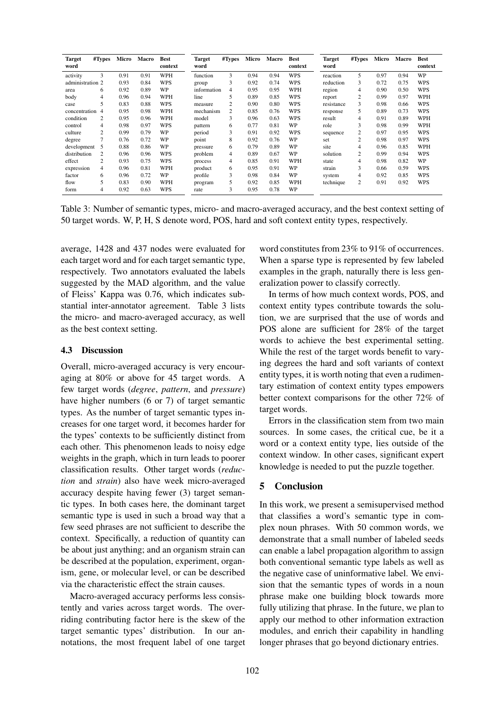| <b>Target</b><br>word | #Types         | Micro | Macro | <b>Best</b><br>context | <b>Target</b><br>word | #Types | Micro | Macro | <b>Best</b><br>context | <b>Target</b><br>word | #Types | Micro | Macro | <b>Best</b><br>context |
|-----------------------|----------------|-------|-------|------------------------|-----------------------|--------|-------|-------|------------------------|-----------------------|--------|-------|-------|------------------------|
| activity              | 3              | 0.91  | 0.91  | WPH                    | function              | 3      | 0.94  | 0.94  | <b>WPS</b>             | reaction              | 5      | 0.97  | 0.94  | WP                     |
| administration 2      |                | 0.93  | 0.84  | WPS                    | group                 | 3      | 0.92  | 0.74  | WPS                    | reduction             | 3      | 0.72  | 0.75  | WPS                    |
| area                  | 6              | 0.92  | 0.89  | WP                     | information           | 4      | 0.95  | 0.95  | WPH                    | region                | 4      | 0.90  | 0.50  | WPS                    |
| body                  | 4              | 0.96  | 0.94  | WPH                    | line                  | 5      | 0.89  | 0.85  | <b>WPS</b>             | report                | 2      | 0.99  | 0.97  | WPH                    |
| case                  | 5              | 0.83  | 0.88  | <b>WPS</b>             | measure               | 2      | 0.90  | 0.80  | <b>WPS</b>             | resistance            | 3      | 0.98  | 0.66  | WPS                    |
| concentration 4       |                | 0.95  | 0.98  | WPH                    | mechanism             | 2      | 0.85  | 0.76  | <b>WPS</b>             | response              | 5      | 0.89  | 0.73  | WPS                    |
| condition             | 2              | 0.95  | 0.96  | WPH                    | model                 | 3      | 0.96  | 0.63  | <b>WPS</b>             | result                | 4      | 0.91  | 0.89  | WPH                    |
| control               | 4              | 0.98  | 0.97  | WPS                    | pattern               | 6      | 0.77  | 0.81  | WP                     | role                  | 3      | 0.98  | 0.99  | WPH                    |
| culture               | $\overline{c}$ | 0.99  | 0.79  | WP                     | period                | 3      | 0.91  | 0.92  | WPS                    | sequence              | 2      | 0.97  | 0.95  | WPS                    |
| degree                | 7              | 0.76  | 0.72  | WP                     | point                 | 8      | 0.92  | 0.76  | WP                     | set                   | 2      | 0.98  | 0.97  | WPS                    |
| development           | 5              | 0.88  | 0.86  | WP                     | pressure              | 6      | 0.79  | 0.89  | WP                     | site                  | 4      | 0.96  | 0.85  | WPH                    |
| distribution          | $\overline{c}$ | 0.96  | 0.96  | WPS                    | problem               | 4      | 0.89  | 0.67  | WP                     | solution              | 2      | 0.99  | 0.94  | WPS                    |
| effect                | $\overline{c}$ | 0.93  | 0.75  | WPS                    | process               | 4      | 0.85  | 0.91  | WPH                    | state                 | 4      | 0.98  | 0.82  | WP                     |
| expression            | 4              | 0.96  | 0.81  | WPH                    | product               | 6      | 0.95  | 0.91  | WP                     | strain                | 3      | 0.66  | 0.59  | <b>WPS</b>             |
| factor                | 6              | 0.96  | 0.72  | WP                     | profile               | 3      | 0.98  | 0.84  | WP                     | system                | 4      | 0.92  | 0.85  | WPS                    |
| flow                  | 5              | 0.83  | 0.90  | WPH                    | program               | 5.     | 0.92  | 0.85  | WPH                    | technique             | 2      | 0.91  | 0.92  | WPS                    |
| form                  | 4              | 0.92  | 0.63  | WPS                    | rate                  | 3      | 0.95  | 0.78  | WP                     |                       |        |       |       |                        |

Table 3: Number of semantic types, micro- and macro-averaged accuracy, and the best context setting of 50 target words. W, P, H, S denote word, POS, hard and soft context entity types, respectively.

average, 1428 and 437 nodes were evaluated for each target word and for each target semantic type, respectively. Two annotators evaluated the labels suggested by the MAD algorithm, and the value of Fleiss' Kappa was 0.76, which indicates substantial inter-annotator agreement. Table 3 lists the micro- and macro-averaged accuracy, as well as the best context setting.

### 4.3 Discussion

Overall, micro-averaged accuracy is very encouraging at 80% or above for 45 target words. A few target words (*degree*, *pattern*, and *pressure*) have higher numbers (6 or 7) of target semantic types. As the number of target semantic types increases for one target word, it becomes harder for the types' contexts to be sufficiently distinct from each other. This phenomenon leads to noisy edge weights in the graph, which in turn leads to poorer classification results. Other target words (*reduction* and *strain*) also have week micro-averaged accuracy despite having fewer (3) target semantic types. In both cases here, the dominant target semantic type is used in such a broad way that a few seed phrases are not sufficient to describe the context. Specifically, a reduction of quantity can be about just anything; and an organism strain can be described at the population, experiment, organism, gene, or molecular level, or can be described via the characteristic effect the strain causes.

Macro-averaged accuracy performs less consistently and varies across target words. The overriding contributing factor here is the skew of the target semantic types' distribution. In our annotations, the most frequent label of one target

word constitutes from 23% to 91% of occurrences. When a sparse type is represented by few labeled examples in the graph, naturally there is less generalization power to classify correctly.

In terms of how much context words, POS, and context entity types contribute towards the solution, we are surprised that the use of words and POS alone are sufficient for 28% of the target words to achieve the best experimental setting. While the rest of the target words benefit to varying degrees the hard and soft variants of context entity types, it is worth noting that even a rudimentary estimation of context entity types empowers better context comparisons for the other 72% of target words.

Errors in the classification stem from two main sources. In some cases, the critical cue, be it a word or a context entity type, lies outside of the context window. In other cases, significant expert knowledge is needed to put the puzzle together.

# 5 Conclusion

In this work, we present a semisupervised method that classifies a word's semantic type in complex noun phrases. With 50 common words, we demonstrate that a small number of labeled seeds can enable a label propagation algorithm to assign both conventional semantic type labels as well as the negative case of uninformative label. We envision that the semantic types of words in a noun phrase make one building block towards more fully utilizing that phrase. In the future, we plan to apply our method to other information extraction modules, and enrich their capability in handling longer phrases that go beyond dictionary entries.